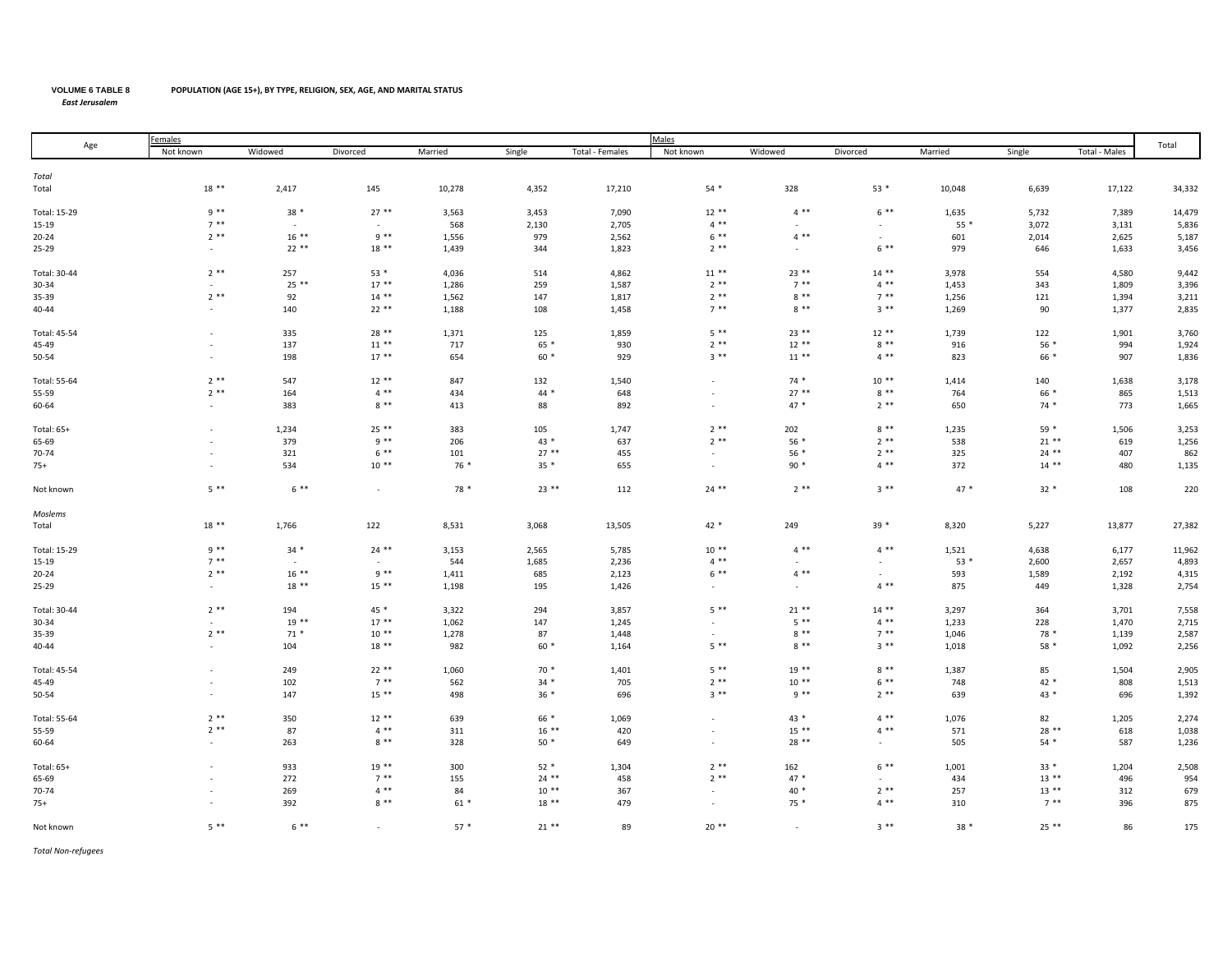## **VOLUME 6 TABLE 8POPULATION (AGE 15+), BY TYPE, RELIGION, SEX, AGE, AND MARITAL STATUS**

*East Jerusalem*

|              | Males<br>Females         |         |          |         |         |                 |                          |         |          |         |         |                      |        |
|--------------|--------------------------|---------|----------|---------|---------|-----------------|--------------------------|---------|----------|---------|---------|----------------------|--------|
| Age          | Not known                | Widowed | Divorced | Married | Single  | Total - Females | Not known                | Widowed | Divorced | Married | Single  | <b>Total - Males</b> | Total  |
|              |                          |         |          |         |         |                 |                          |         |          |         |         |                      |        |
| Total        |                          |         |          |         |         |                 |                          |         |          |         |         |                      |        |
| Total        | $18***$                  | 2,417   | 145      | 10,278  | 4,352   | 17,210          | $54*$                    | 328     | $53*$    | 10,048  | 6,639   | 17,122               | 34,332 |
| Total: 15-29 | $9**$                    | $38*$   | $27***$  | 3,563   | 3,453   | 7,090           | $12***$                  | $4***$  | $6***$   | 1,635   | 5,732   | 7,389                | 14,479 |
| 15-19        | $7***$                   | $\sim$  | $\sim$   | 568     | 2,130   | 2,705           | $4***$                   | $\sim$  | $\sim$   | $55*$   | 3,072   | 3,131                | 5,836  |
| 20-24        | $2**$                    | $16***$ | $9**$    | 1,556   | 979     | 2,562           | $6***$                   | $4***$  | $\sim$   | 601     | 2,014   | 2,625                | 5,187  |
| 25-29        | $\sim$                   | $22**$  | $18***$  | 1,439   | 344     | 1,823           | $2***$                   | $\sim$  | $6***$   | 979     | 646     | 1,633                | 3,456  |
|              |                          |         |          |         |         |                 |                          |         |          |         |         |                      |        |
| Total: 30-44 | $2***$                   | 257     | $53*$    | 4,036   | 514     | 4,862           | $11***$                  | $23***$ | $14***$  | 3,978   | 554     | 4,580                | 9,442  |
| 30-34        | $\sim$                   | $25***$ | $17***$  | 1,286   | 259     | 1,587           | $2**$                    | $7**$   | $4***$   | 1,453   | 343     | 1,809                | 3,396  |
| 35-39        | $2**$                    | 92      | $14***$  | 1,562   | 147     | 1,817           | $2**$                    | $8**$   | $7***$   | 1,256   | 121     | 1,394                | 3,211  |
| 40-44        | $\sim$                   | 140     | $22$ **  | 1,188   | 108     | 1,458           | $7***$                   | $8**$   | $3**$    | 1,269   | 90      | 1,377                | 2,835  |
| Total: 45-54 |                          | 335     | $28***$  | 1,371   | 125     | 1,859           | $5***$                   | $23***$ | $12***$  | 1,739   | 122     | 1,901                | 3,760  |
| 45-49        |                          | 137     | $11***$  | 717     | 65 *    | 930             | $2**$                    | $12**$  | $8**$    | 916     | $56*$   | 994                  | 1,924  |
| 50-54        | $\sim$                   | 198     | $17***$  | 654     | $60*$   | 929             | $3***$                   | $11***$ | $4***$   | 823     | 66 *    | 907                  | 1,836  |
|              |                          |         |          |         |         |                 |                          |         |          |         |         |                      |        |
| Total: 55-64 | $2**$                    | 547     | $12***$  | 847     | 132     | 1,540           | $\overline{\phantom{a}}$ | $74*$   | $10***$  | 1,414   | 140     | 1,638                | 3,178  |
| 55-59        | $2**$                    | 164     | $4**$    | 434     | $44*$   | 648             | $\overline{a}$           | $27***$ | $8**$    | 764     | 66 *    | 865                  | 1,513  |
| 60-64        | $\sim$                   | 383     | $8**$    | 413     | 88      | 892             | $\overline{\phantom{a}}$ | $47*$   | $2***$   | 650     | $74*$   | 773                  | 1,665  |
|              |                          |         |          |         |         |                 |                          |         |          |         |         |                      |        |
| Total: 65+   |                          | 1,234   | $25***$  | 383     | 105     | 1,747           | $2***$                   | 202     | $8**$    | 1,235   | $59*$   | 1,506                | 3,253  |
| 65-69        |                          | 379     | $9**$    | 206     | $43*$   | 637             | $2**$                    | $56*$   | $2**$    | 538     | $21***$ | 619                  | 1,256  |
| 70-74        |                          | 321     | $6***$   | 101     | $27***$ | 455             |                          | $56*$   | $2**$    | 325     | $24$ ** | 407                  | 862    |
| $75+$        |                          | 534     | $10**$   | 76 *    | $35*$   | 655             | $\overline{\phantom{a}}$ | $90*$   | $4***$   | 372     | $14***$ | 480                  | 1,135  |
| Not known    | $5**$                    | $6***$  | $\sim$   | 78 *    | $23$ ** | 112             | $24$ **                  | $2 * *$ | $3**$    | $47*$   | $32 *$  | 108                  | 220    |
| Moslems      |                          |         |          |         |         |                 |                          |         |          |         |         |                      |        |
| Total        | $18***$                  | 1,766   | 122      | 8,531   | 3,068   | 13,505          | $42*$                    | 249     | $39 *$   | 8,320   | 5,227   | 13,877               | 27,382 |
|              |                          |         |          |         |         |                 |                          |         |          |         |         |                      |        |
| Total: 15-29 | $9**$                    | $34*$   | $24***$  | 3,153   | 2,565   | 5,785           | $10**$                   | $4***$  | $4***$   | 1,521   | 4,638   | 6,177                | 11,962 |
| 15-19        | $7***$                   | $\sim$  | $\sim$   | 544     | 1,685   | 2,236           | $4***$                   | $\sim$  | $\sim$   | $53*$   | 2,600   | 2,657                | 4,893  |
| 20-24        | $2**$                    | $16***$ | $9**$    | 1,411   | 685     | 2,123           | $6***$                   | $4***$  | $\sim$   | 593     | 1,589   | 2,192                | 4,315  |
| 25-29        | $\sim$                   | $18**$  | $15***$  | 1,198   | 195     | 1,426           | $\sim$                   | $\sim$  | $4***$   | 875     | 449     | 1,328                | 2,754  |
| Total: 30-44 | $2***$                   | 194     | $45 *$   | 3,322   | 294     | 3,857           | $5***$                   | $21$ ** | $14***$  | 3,297   | 364     | 3,701                | 7,558  |
| 30-34        | $\sim$                   | $19***$ | $17***$  | 1,062   | 147     | 1,245           | $\sim$                   | $5***$  | $4**$    | 1,233   | 228     | 1,470                | 2,715  |
| 35-39        | $2***$                   | $71*$   | $10**$   | 1,278   | 87      | 1,448           | $\sim$                   | $8***$  | $7***$   | 1,046   | 78 *    | 1,139                | 2,587  |
| 40-44        | $\sim$                   | 104     | $18**$   | 982     | $60*$   | 1,164           | $5***$                   | $8***$  | $3**$    | 1,018   | 58 *    | 1,092                | 2,256  |
|              |                          |         |          |         |         |                 |                          |         |          |         |         |                      |        |
| Total: 45-54 |                          | 249     | $22**$   | 1,060   | $70*$   | 1,401           | $5***$                   | $19***$ | $8***$   | 1,387   | 85      | 1,504                | 2,905  |
| 45-49        |                          | 102     | $7^{**}$ | 562     | $34*$   | 705             | $2**$                    | $10**$  | $6***$   | 748     | $42*$   | 808                  | 1,513  |
| 50-54        | $\overline{\phantom{a}}$ | 147     | $15***$  | 498     | $36*$   | 696             | $3***$                   | $9**$   | $2**$    | 639     | $43*$   | 696                  | 1,392  |
|              |                          |         |          |         |         |                 |                          |         |          |         |         |                      |        |
| Total: 55-64 | $2**$                    | 350     | $12***$  | 639     | 66 *    | 1,069           |                          | $43*$   | $4***$   | 1,076   | 82      | 1,205                | 2,274  |
| 55-59        | $2**$                    | 87      | $4***$   | 311     | $16***$ | 420             | $\overline{\phantom{a}}$ | $15***$ | $4***$   | 571     | $28**$  | 618                  | 1,038  |
| 60-64        | $\sim$                   | 263     | $8**$    | 328     | $50*$   | 649             | $\sim$                   | $28**$  | $\sim$   | 505     | $54*$   | 587                  | 1,236  |
| Total: 65+   |                          | 933     | $19***$  | 300     | $52*$   | 1,304           | $2**$                    | 162     | $6***$   | 1,001   | $33*$   | 1,204                | 2,508  |
| 65-69        |                          | 272     | $7 * *$  | 155     | $24$ ** | 458             | $2**$                    | $47*$   | $\sim$   | 434     | $13***$ | 496                  | 954    |
| 70-74        |                          | 269     | $4***$   | 84      | $10**$  | 367             | $\sim$                   | $40*$   | $2$ **   | 257     | $13***$ | 312                  | 679    |
| $75+$        |                          | 392     | $8**$    | $61*$   | $18***$ | 479             | $\sim$                   | 75 *    | $4***$   | 310     | $7***$  | 396                  | 875    |
|              |                          |         |          |         |         |                 |                          |         |          |         |         |                      |        |
| Not known    | $5**$                    | $6***$  |          | $57*$   | $21$ ** | 89              | $20**$                   | $\sim$  | $3**$    | $38*$   | $25***$ | 86                   | 175    |

*Total Non‐refugees*